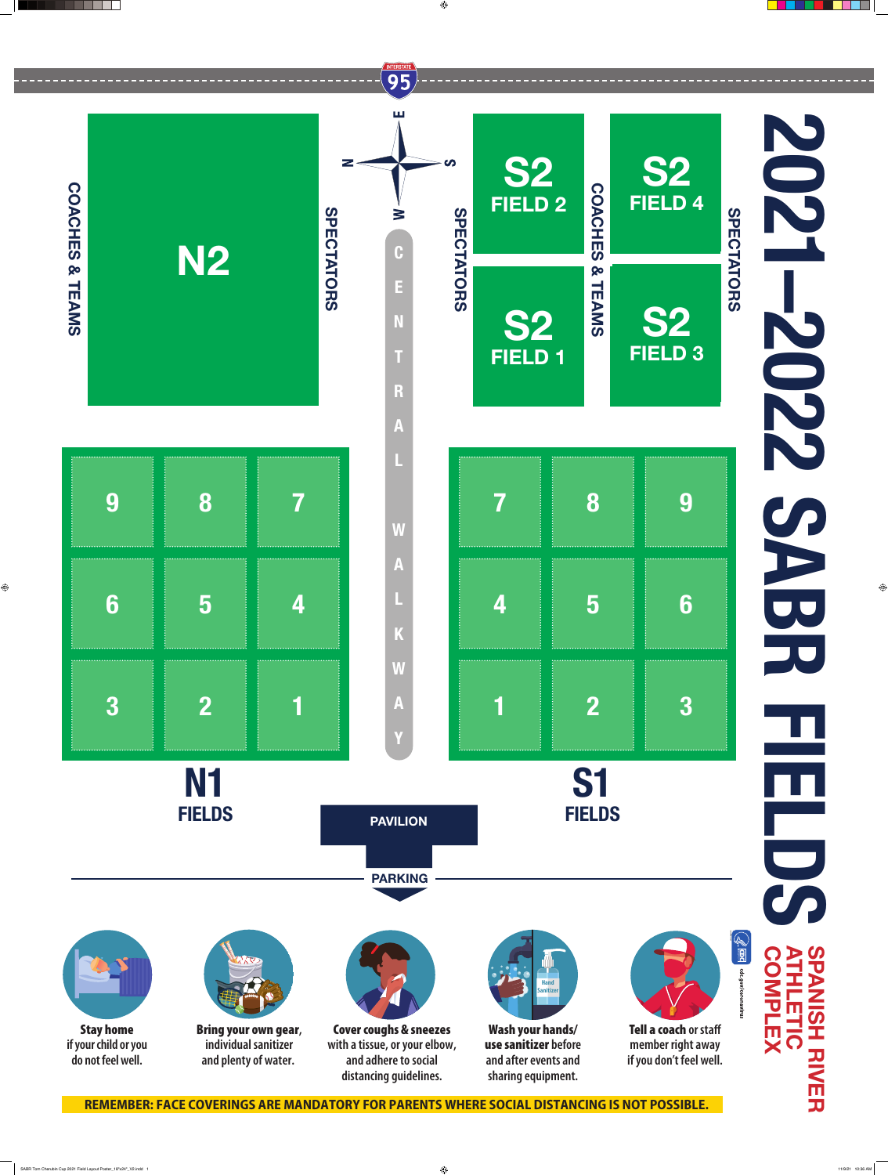

 $\bigoplus$ 

**REMEMBER: FACE COVERINGS ARE MANDATORY FOR PARENTS WHERE SOCIAL DISTANCING IS NOT POSSIBLE.**